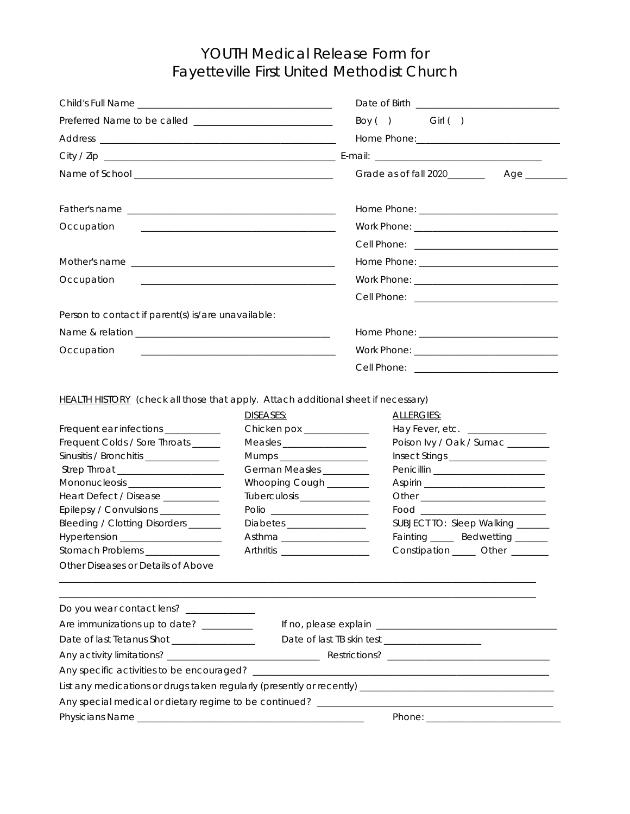## YOUTH Medical Release Form for Fayetteville First United Methodist Church

|                                                                                                                                                                                                                                                                                                                                                                                                                                                                                    |                                                                                                                                                                                                      | Boy () Girl ()                                                                                                                                                                                                                                                                                                                                                                                                                                                                                                  |  |
|------------------------------------------------------------------------------------------------------------------------------------------------------------------------------------------------------------------------------------------------------------------------------------------------------------------------------------------------------------------------------------------------------------------------------------------------------------------------------------|------------------------------------------------------------------------------------------------------------------------------------------------------------------------------------------------------|-----------------------------------------------------------------------------------------------------------------------------------------------------------------------------------------------------------------------------------------------------------------------------------------------------------------------------------------------------------------------------------------------------------------------------------------------------------------------------------------------------------------|--|
|                                                                                                                                                                                                                                                                                                                                                                                                                                                                                    |                                                                                                                                                                                                      |                                                                                                                                                                                                                                                                                                                                                                                                                                                                                                                 |  |
|                                                                                                                                                                                                                                                                                                                                                                                                                                                                                    |                                                                                                                                                                                                      |                                                                                                                                                                                                                                                                                                                                                                                                                                                                                                                 |  |
|                                                                                                                                                                                                                                                                                                                                                                                                                                                                                    |                                                                                                                                                                                                      |                                                                                                                                                                                                                                                                                                                                                                                                                                                                                                                 |  |
|                                                                                                                                                                                                                                                                                                                                                                                                                                                                                    |                                                                                                                                                                                                      |                                                                                                                                                                                                                                                                                                                                                                                                                                                                                                                 |  |
| Occupation                                                                                                                                                                                                                                                                                                                                                                                                                                                                         | <u> 1980 - Jan Sterling, mars and de la politica de la politica de la politica de la politica de la politica de</u>                                                                                  |                                                                                                                                                                                                                                                                                                                                                                                                                                                                                                                 |  |
|                                                                                                                                                                                                                                                                                                                                                                                                                                                                                    |                                                                                                                                                                                                      |                                                                                                                                                                                                                                                                                                                                                                                                                                                                                                                 |  |
|                                                                                                                                                                                                                                                                                                                                                                                                                                                                                    |                                                                                                                                                                                                      |                                                                                                                                                                                                                                                                                                                                                                                                                                                                                                                 |  |
| Occupation                                                                                                                                                                                                                                                                                                                                                                                                                                                                         | <u> 1989 - Johann Harry Harry Harry Harry Harry Harry Harry Harry Harry Harry Harry Harry Harry Harry Harry Harry</u>                                                                                |                                                                                                                                                                                                                                                                                                                                                                                                                                                                                                                 |  |
|                                                                                                                                                                                                                                                                                                                                                                                                                                                                                    |                                                                                                                                                                                                      |                                                                                                                                                                                                                                                                                                                                                                                                                                                                                                                 |  |
| Person to contact if parent(s) is/are unavailable:                                                                                                                                                                                                                                                                                                                                                                                                                                 |                                                                                                                                                                                                      |                                                                                                                                                                                                                                                                                                                                                                                                                                                                                                                 |  |
|                                                                                                                                                                                                                                                                                                                                                                                                                                                                                    |                                                                                                                                                                                                      |                                                                                                                                                                                                                                                                                                                                                                                                                                                                                                                 |  |
|                                                                                                                                                                                                                                                                                                                                                                                                                                                                                    |                                                                                                                                                                                                      |                                                                                                                                                                                                                                                                                                                                                                                                                                                                                                                 |  |
| Occupation                                                                                                                                                                                                                                                                                                                                                                                                                                                                         |                                                                                                                                                                                                      |                                                                                                                                                                                                                                                                                                                                                                                                                                                                                                                 |  |
|                                                                                                                                                                                                                                                                                                                                                                                                                                                                                    |                                                                                                                                                                                                      |                                                                                                                                                                                                                                                                                                                                                                                                                                                                                                                 |  |
| <b>HEALTH HISTORY</b> (check all those that apply. Attach additional sheet if necessary)<br>Frequent ear infections __________<br>Frequent Colds / Sore Throats _____<br>Sinusitis / Bronchitis ________________<br>Mononucleosis ___________________<br>Heart Defect / Disease __________<br>Epilepsy / Convulsions ___________<br>Bleeding / Clotting Disorders ______<br>Hypertension _____________________<br>Stomach Problems _________<br>Other Diseases or Details of Above | DISEASES:<br>Chicken pox ____________<br>Measles _____________________<br>Mumps _________________________<br>German Measles _________<br>Whooping Cough _______<br>Polio<br>Diabetes _______________ | ALLERGIES:<br>Hay Fever, etc. ________________<br>Poison Ivy / Oak / Sumac _______<br>Penicillin ________________________<br>Aspirin ___________________________<br>Other the contract of the contract of the contract of the contract of the contract of the contract of the contract of the contract of the contract of the contract of the contract of the contract of the contract of the cont<br>SUBJECT TO: Sleep Walking ______<br>Fainting _____ Bedwetting ______<br>Constipation ______ Other _______ |  |
| Do you wear contact lens? _____________<br>Are immunizations up to date? _________                                                                                                                                                                                                                                                                                                                                                                                                 |                                                                                                                                                                                                      |                                                                                                                                                                                                                                                                                                                                                                                                                                                                                                                 |  |
| Date of last Tetanus Shot ________________                                                                                                                                                                                                                                                                                                                                                                                                                                         |                                                                                                                                                                                                      |                                                                                                                                                                                                                                                                                                                                                                                                                                                                                                                 |  |
|                                                                                                                                                                                                                                                                                                                                                                                                                                                                                    |                                                                                                                                                                                                      |                                                                                                                                                                                                                                                                                                                                                                                                                                                                                                                 |  |
|                                                                                                                                                                                                                                                                                                                                                                                                                                                                                    |                                                                                                                                                                                                      |                                                                                                                                                                                                                                                                                                                                                                                                                                                                                                                 |  |
|                                                                                                                                                                                                                                                                                                                                                                                                                                                                                    |                                                                                                                                                                                                      | List any medications or drugs taken regularly (presently or recently) [1942] [2012] [2013] [2013] [2014] [2014                                                                                                                                                                                                                                                                                                                                                                                                  |  |
|                                                                                                                                                                                                                                                                                                                                                                                                                                                                                    |                                                                                                                                                                                                      |                                                                                                                                                                                                                                                                                                                                                                                                                                                                                                                 |  |
|                                                                                                                                                                                                                                                                                                                                                                                                                                                                                    |                                                                                                                                                                                                      |                                                                                                                                                                                                                                                                                                                                                                                                                                                                                                                 |  |